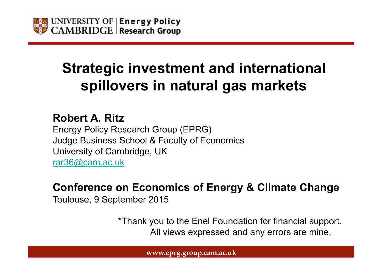

## **Strategic investment and international spillovers in natural gas markets**

**Robert A. Ritz** Energy Policy Research Group (EPRG) Judge Business School & Faculty of Economics University of Cambridge, UK rar36@cam.ac.uk

#### **Conference on Economics of Energy & Climate Change**

Toulouse, 9 September 2015

 \*Thank you to the Enel Foundation for financial support. All views expressed and any errors are mine.

**www.eprg.group.cam.ac.uk**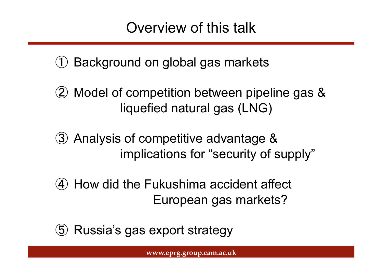## Overview of this talk

① Background on global gas markets

- ② Model of competition between pipeline gas & liquefied natural gas (LNG)
- ③ Analysis of competitive advantage & implications for "security of supply"
- ④ How did the Fukushima accident affect European gas markets?
- ⑤ Russia's gas export strategy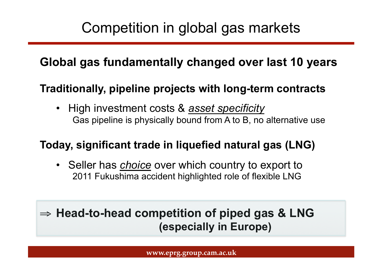## Competition in global gas markets

### **Global gas fundamentally changed over last 10 years**

#### **Traditionally, pipeline projects with long-term contracts**

• High investment costs & *asset specificity*  Gas pipeline is physically bound from A to B, no alternative use

#### **Today, significant trade in liquefied natural gas (LNG)**

• Seller has *choice* over which country to export to 2011 Fukushima accident highlighted role of flexible LNG

## ⇒ **Head-to-head competition of piped gas & LNG (especially in Europe)**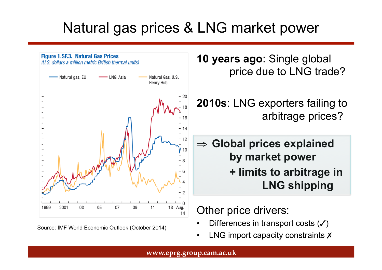## Natural gas prices & LNG market power



Source: IMF World Economic Outlook (October 2014)

**10 years ago**: Single global price due to LNG trade?

**2010s**: LNG exporters failing to arbitrage prices?

⇒ **Global prices explained by market power + limits to arbitrage in LNG shipping** 

#### Other price drivers:

- Differences in transport costs  $(V)$
- LNG import capacity constraints  $$

**www.eprg.group.cam.ac.uk**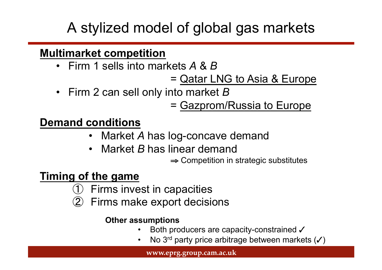# A stylized model of global gas markets

#### **Multimarket competition**

- Firm 1 sells into markets *A* & *B*
	- = Qatar LNG to Asia & Europe
- Firm 2 can sell only into market *B*

= Gazprom/Russia to Europe

### **Demand conditions**

- Market *A* has log-concave demand
- Market *B* has linear demand
	- ⇒ Competition in strategic substitutes

### **Timing of the game**

- **Firms invest in capacities**
- ② Firms make export decisions

#### **Other assumptions**

- Both producers are capacity-constrained  $\checkmark$
- No 3<sup>rd</sup> party price arbitrage between markets (✓)

**www.eprg.group.cam.ac.uk**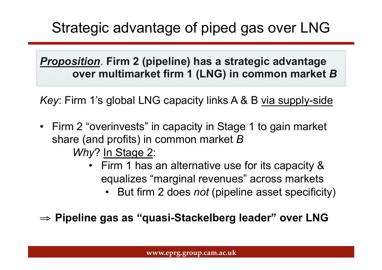# Strategic advantage of piped gas over LNG

*Proposition*. **Firm 2 (pipeline) has a strategic advantage over multimarket firm 1 (LNG) in common market** *B*

*Key*: Firm 1's global LNG capacity links A & B via supply-side

- Firm 2 "overinvests" in capacity in Stage 1 to gain market share (and profits) in common market *B Why*? In Stage 2:
	- Firm 1 has an alternative use for its capacity & equalizes "marginal revenues" across markets
		- But firm 2 does *not* (pipeline asset specificity)

⇒ **Pipeline gas as "quasi-Stackelberg leader" over LNG**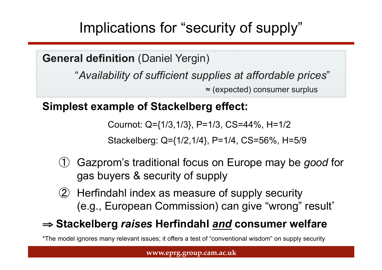Implications for "security of supply"

**General definition** (Daniel Yergin)

"*Availability of sufficient supplies at affordable prices*"

≈ (expected) consumer surplus

**Simplest example of Stackelberg effect:** 

Cournot: Q={1/3,1/3}, P=1/3, CS=44%, H=1/2

Stackelberg: Q={1/2,1/4}, P=1/4, CS=56%, H=5/9

- ① Gazprom's traditional focus on Europe may be *good* for gas buyers & security of supply
- ② Herfindahl index as measure of supply security (e.g., European Commission) can give "wrong" result\*

#### ⇒ **Stackelberg** *raises* **Herfindahl** *and* **consumer welfare**

\*The model ignores many relevant issues; it offers a test of "conventional wisdom" on supply security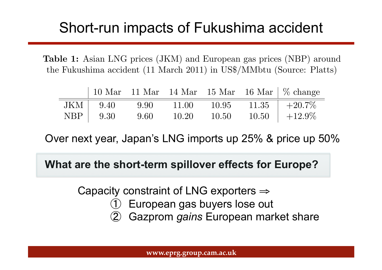#### Short-run impacts of Fukushima accident the spring of 2011 and pipeline imports, especially from Russia, subsequently Stion-run impac

Table 1: Asian LNG prices (JKM) and European gas prices (NBP) around the Fukushima accident (11 March 2011) in US\$/MMbtu (Source: Platts)

|     |                |      |       |       | 10 Mar 11 Mar 14 Mar 15 Mar 16 Mar $\%$ change |
|-----|----------------|------|-------|-------|------------------------------------------------|
|     | $JKM$   $9.40$ | 9.90 | 11.00 | 10.95 | $11.35$   $+20.7\%$                            |
| NBP | 9.30           | 9.60 | 10.20 | 10.50 | $10.50 + 12.9\%$                               |

Over next year, Japan's LNG imports up 25% & price up 50%

**What are the short-term spillover effects for Europe?** 

Capacity constraint of LNG exporters ⇒

- European gas buyers lose out
- Gazprom *gains* European market share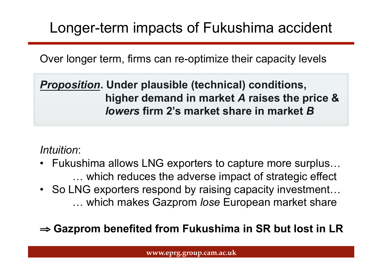## Longer-term impacts of Fukushima accident

Over longer term, firms can re-optimize their capacity levels

*Proposition***. Under plausible (technical) conditions, higher demand in market** *A* **raises the price &** *lowers* **firm 2's market share in market** *B*

*Intuition*:

- Fukushima allows LNG exporters to capture more surplus… … which reduces the adverse impact of strategic effect
- So LNG exporters respond by raising capacity investment... … which makes Gazprom *lose* European market share

⇒ **Gazprom benefited from Fukushima in SR but lost in LR**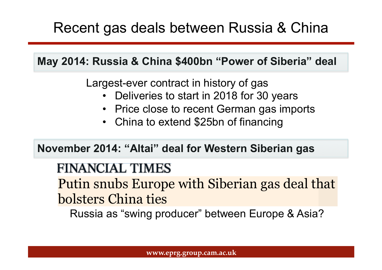## Recent gas deals between Russia & China

**May 2014: Russia & China \$400bn "Power of Siberia" deal** 

Largest-ever contract in history of gas

- Deliveries to start in 2018 for 30 years
- Price close to recent German gas imports
- China to extend \$25bn of financing

**November 2014: "Altai" deal for Western Siberian gas** 

## **FINANCIAL TIMES**

Putin snubs Europe with Siberian gas deal that bolsters China ties with Siberian gas deal that Siberian gas deal that Siberian gas deal that Siberian gas de

Russia as "swing producer" between Europe & Asia?